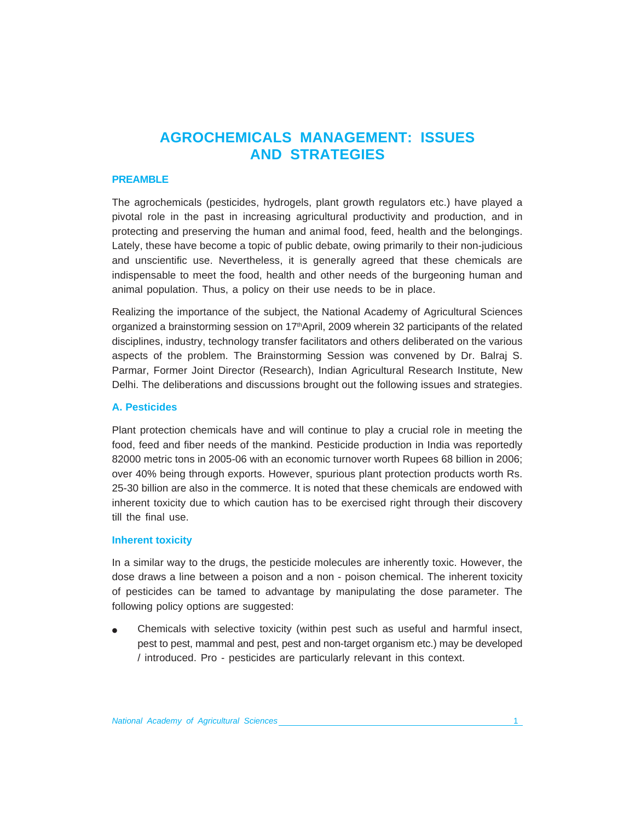# **AGROCHEMICALS MANAGEMENT: ISSUES AND STRATEGIES**

#### **PREAMBLE**

The agrochemicals (pesticides, hydrogels, plant growth regulators etc.) have played a pivotal role in the past in increasing agricultural productivity and production, and in protecting and preserving the human and animal food, feed, health and the belongings. Lately, these have become a topic of public debate, owing primarily to their non-judicious and unscientific use. Nevertheless, it is generally agreed that these chemicals are indispensable to meet the food, health and other needs of the burgeoning human and animal population. Thus, a policy on their use needs to be in place.

Realizing the importance of the subject, the National Academy of Agricultural Sciences organized a brainstorming session on  $17<sup>th</sup>$ April, 2009 wherein 32 participants of the related disciplines, industry, technology transfer facilitators and others deliberated on the various aspects of the problem. The Brainstorming Session was convened by Dr. Balraj S. Parmar, Former Joint Director (Research), Indian Agricultural Research Institute, New Delhi. The deliberations and discussions brought out the following issues and strategies.

#### **A. Pesticides**

Plant protection chemicals have and will continue to play a crucial role in meeting the food, feed and fiber needs of the mankind. Pesticide production in India was reportedly 82000 metric tons in 2005-06 with an economic turnover worth Rupees 68 billion in 2006; over 40% being through exports. However, spurious plant protection products worth Rs. 25-30 billion are also in the commerce. It is noted that these chemicals are endowed with inherent toxicity due to which caution has to be exercised right through their discovery till the final use.

#### **Inherent toxicity**

In a similar way to the drugs, the pesticide molecules are inherently toxic. However, the dose draws a line between a poison and a non - poison chemical. The inherent toxicity of pesticides can be tamed to advantage by manipulating the dose parameter. The following policy options are suggested:

● Chemicals with selective toxicity (within pest such as useful and harmful insect, pest to pest, mammal and pest, pest and non-target organism etc.) may be developed / introduced. Pro - pesticides are particularly relevant in this context.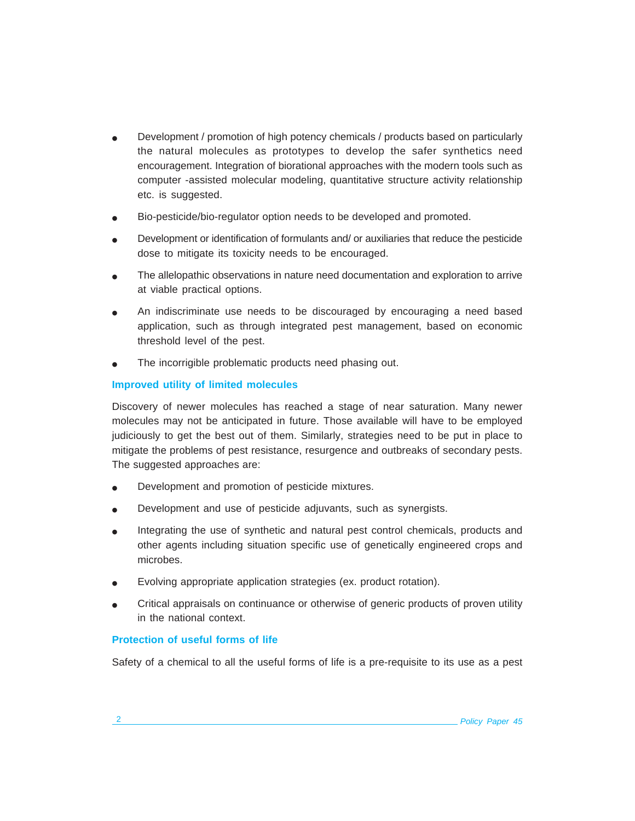- Development / promotion of high potency chemicals / products based on particularly the natural molecules as prototypes to develop the safer synthetics need encouragement. Integration of biorational approaches with the modern tools such as computer -assisted molecular modeling, quantitative structure activity relationship etc. is suggested.
- Bio-pesticide/bio-regulator option needs to be developed and promoted.
- Development or identification of formulants and/ or auxiliaries that reduce the pesticide dose to mitigate its toxicity needs to be encouraged.
- The allelopathic observations in nature need documentation and exploration to arrive at viable practical options.
- An indiscriminate use needs to be discouraged by encouraging a need based application, such as through integrated pest management, based on economic threshold level of the pest.
- The incorrigible problematic products need phasing out.

## **Improved utility of limited molecules**

Discovery of newer molecules has reached a stage of near saturation. Many newer molecules may not be anticipated in future. Those available will have to be employed judiciously to get the best out of them. Similarly, strategies need to be put in place to mitigate the problems of pest resistance, resurgence and outbreaks of secondary pests. The suggested approaches are:

- Development and promotion of pesticide mixtures.
- Development and use of pesticide adjuvants, such as synergists.
- Integrating the use of synthetic and natural pest control chemicals, products and other agents including situation specific use of genetically engineered crops and microbes.
- Evolving appropriate application strategies (ex. product rotation).
- Critical appraisals on continuance or otherwise of generic products of proven utility in the national context.

### **Protection of useful forms of life**

Safety of a chemical to all the useful forms of life is a pre-requisite to its use as a pest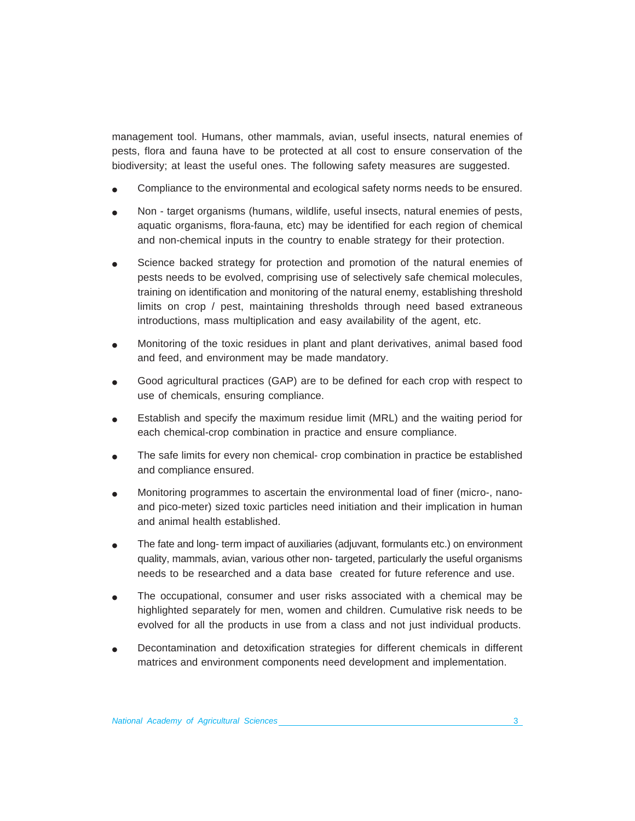management tool. Humans, other mammals, avian, useful insects, natural enemies of pests, flora and fauna have to be protected at all cost to ensure conservation of the biodiversity; at least the useful ones. The following safety measures are suggested.

- Compliance to the environmental and ecological safety norms needs to be ensured.
- Non target organisms (humans, wildlife, useful insects, natural enemies of pests, aquatic organisms, flora-fauna, etc) may be identified for each region of chemical and non-chemical inputs in the country to enable strategy for their protection.
- Science backed strategy for protection and promotion of the natural enemies of pests needs to be evolved, comprising use of selectively safe chemical molecules, training on identification and monitoring of the natural enemy, establishing threshold limits on crop / pest, maintaining thresholds through need based extraneous introductions, mass multiplication and easy availability of the agent, etc.
- Monitoring of the toxic residues in plant and plant derivatives, animal based food and feed, and environment may be made mandatory.
- Good agricultural practices (GAP) are to be defined for each crop with respect to use of chemicals, ensuring compliance.
- Establish and specify the maximum residue limit (MRL) and the waiting period for each chemical-crop combination in practice and ensure compliance.
- The safe limits for every non chemical- crop combination in practice be established and compliance ensured.
- Monitoring programmes to ascertain the environmental load of finer (micro-, nanoand pico-meter) sized toxic particles need initiation and their implication in human and animal health established.
- The fate and long- term impact of auxiliaries (adjuvant, formulants etc.) on environment quality, mammals, avian, various other non- targeted, particularly the useful organisms needs to be researched and a data base created for future reference and use.
- The occupational, consumer and user risks associated with a chemical may be highlighted separately for men, women and children. Cumulative risk needs to be evolved for all the products in use from a class and not just individual products.
- Decontamination and detoxification strategies for different chemicals in different matrices and environment components need development and implementation.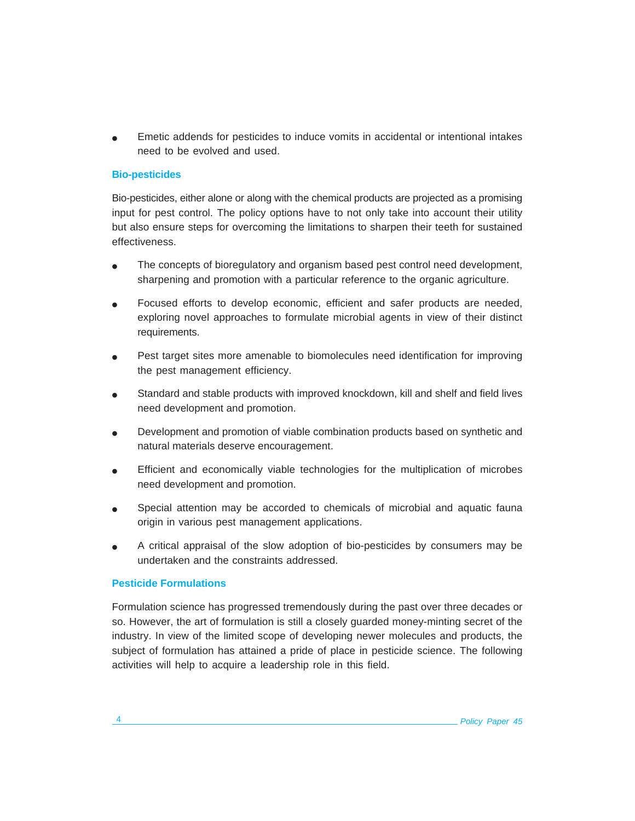Emetic addends for pesticides to induce vomits in accidental or intentional intakes need to be evolved and used.

### **Bio-pesticides**

Bio-pesticides, either alone or along with the chemical products are projected as a promising input for pest control. The policy options have to not only take into account their utility but also ensure steps for overcoming the limitations to sharpen their teeth for sustained effectiveness.

- The concepts of bioregulatory and organism based pest control need development, sharpening and promotion with a particular reference to the organic agriculture.
- Focused efforts to develop economic, efficient and safer products are needed, exploring novel approaches to formulate microbial agents in view of their distinct requirements.
- Pest target sites more amenable to biomolecules need identification for improving the pest management efficiency.
- Standard and stable products with improved knockdown, kill and shelf and field lives need development and promotion.
- Development and promotion of viable combination products based on synthetic and natural materials deserve encouragement.
- **•** Efficient and economically viable technologies for the multiplication of microbes need development and promotion.
- Special attention may be accorded to chemicals of microbial and aquatic fauna origin in various pest management applications.
- A critical appraisal of the slow adoption of bio-pesticides by consumers may be undertaken and the constraints addressed.

#### **Pesticide Formulations**

Formulation science has progressed tremendously during the past over three decades or so. However, the art of formulation is still a closely guarded money-minting secret of the industry. In view of the limited scope of developing newer molecules and products, the subject of formulation has attained a pride of place in pesticide science. The following activities will help to acquire a leadership role in this field.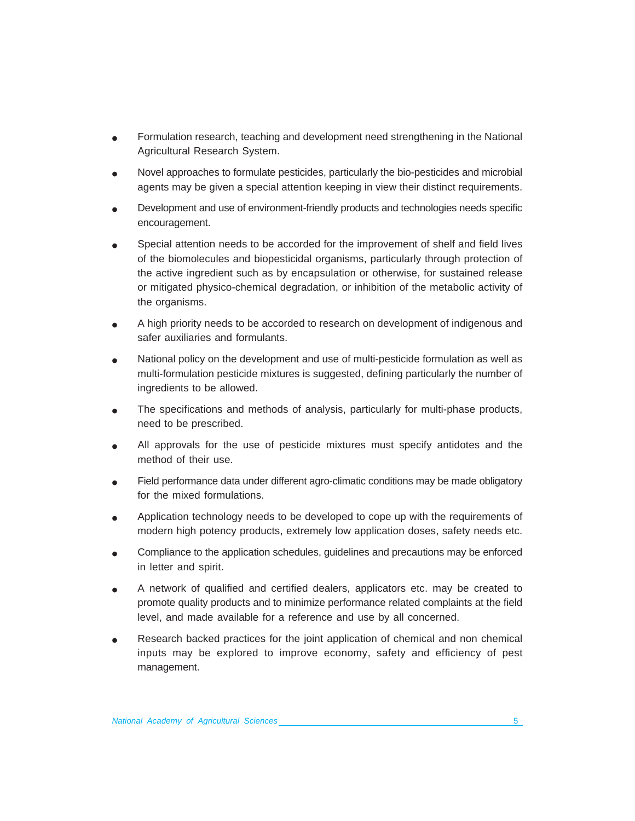- Formulation research, teaching and development need strengthening in the National Agricultural Research System.
- Novel approaches to formulate pesticides, particularly the bio-pesticides and microbial agents may be given a special attention keeping in view their distinct requirements.
- Development and use of environment-friendly products and technologies needs specific encouragement.
- Special attention needs to be accorded for the improvement of shelf and field lives of the biomolecules and biopesticidal organisms, particularly through protection of the active ingredient such as by encapsulation or otherwise, for sustained release or mitigated physico-chemical degradation, or inhibition of the metabolic activity of the organisms.
- A high priority needs to be accorded to research on development of indigenous and safer auxiliaries and formulants.
- National policy on the development and use of multi-pesticide formulation as well as multi-formulation pesticide mixtures is suggested, defining particularly the number of ingredients to be allowed.
- The specifications and methods of analysis, particularly for multi-phase products, need to be prescribed.
- All approvals for the use of pesticide mixtures must specify antidotes and the method of their use.
- Field performance data under different agro-climatic conditions may be made obligatory for the mixed formulations.
- Application technology needs to be developed to cope up with the requirements of modern high potency products, extremely low application doses, safety needs etc.
- Compliance to the application schedules, guidelines and precautions may be enforced in letter and spirit.
- A network of qualified and certified dealers, applicators etc. may be created to promote quality products and to minimize performance related complaints at the field level, and made available for a reference and use by all concerned.
- Research backed practices for the joint application of chemical and non chemical inputs may be explored to improve economy, safety and efficiency of pest management.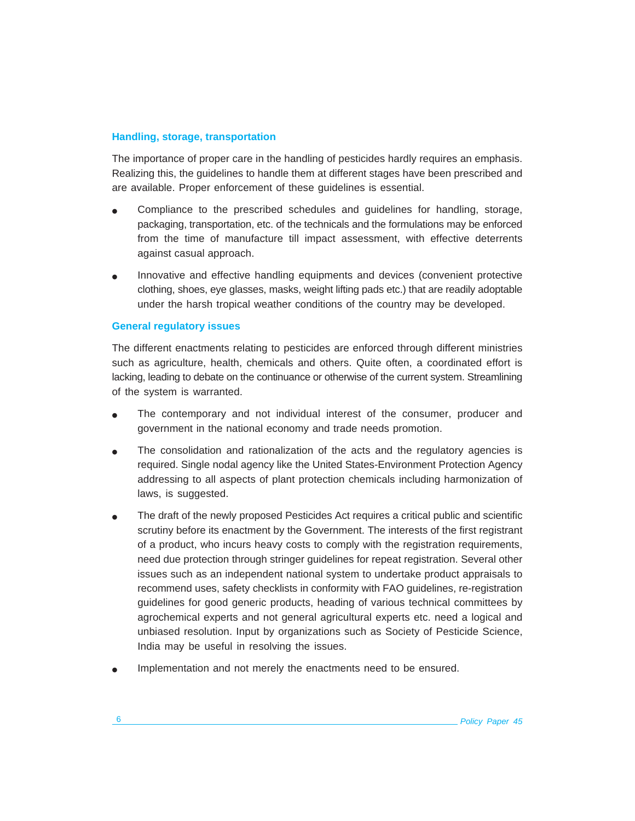### **Handling, storage, transportation**

The importance of proper care in the handling of pesticides hardly requires an emphasis. Realizing this, the guidelines to handle them at different stages have been prescribed and are available. Proper enforcement of these guidelines is essential.

- Compliance to the prescribed schedules and guidelines for handling, storage, packaging, transportation, etc. of the technicals and the formulations may be enforced from the time of manufacture till impact assessment, with effective deterrents against casual approach.
- Innovative and effective handling equipments and devices (convenient protective clothing, shoes, eye glasses, masks, weight lifting pads etc.) that are readily adoptable under the harsh tropical weather conditions of the country may be developed.

#### **General regulatory issues**

The different enactments relating to pesticides are enforced through different ministries such as agriculture, health, chemicals and others. Quite often, a coordinated effort is lacking, leading to debate on the continuance or otherwise of the current system. Streamlining of the system is warranted.

- The contemporary and not individual interest of the consumer, producer and government in the national economy and trade needs promotion.
- The consolidation and rationalization of the acts and the regulatory agencies is required. Single nodal agency like the United States-Environment Protection Agency addressing to all aspects of plant protection chemicals including harmonization of laws, is suggested.
- The draft of the newly proposed Pesticides Act requires a critical public and scientific scrutiny before its enactment by the Government. The interests of the first registrant of a product, who incurs heavy costs to comply with the registration requirements, need due protection through stringer guidelines for repeat registration. Several other issues such as an independent national system to undertake product appraisals to recommend uses, safety checklists in conformity with FAO guidelines, re-registration guidelines for good generic products, heading of various technical committees by agrochemical experts and not general agricultural experts etc. need a logical and unbiased resolution. Input by organizations such as Society of Pesticide Science, India may be useful in resolving the issues.
- Implementation and not merely the enactments need to be ensured.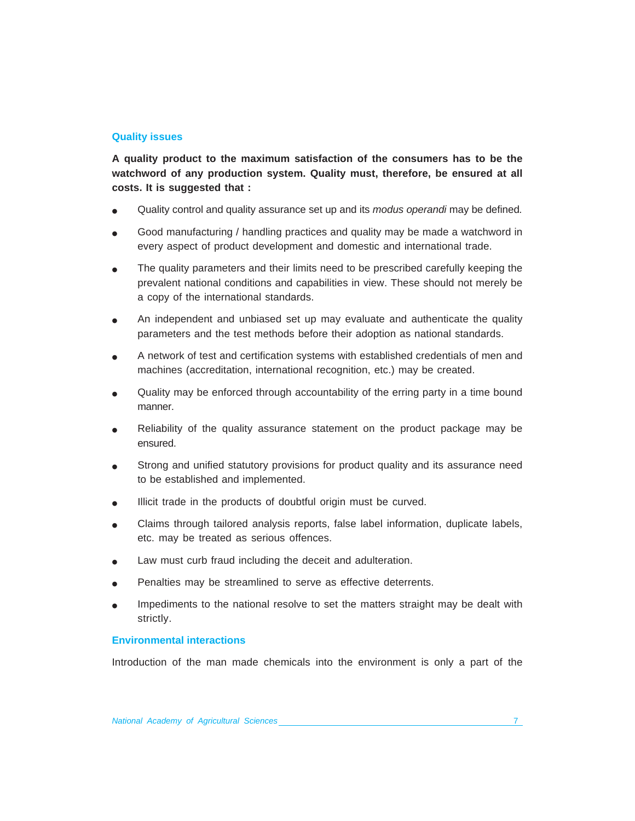### **Quality issues**

**A quality product to the maximum satisfaction of the consumers has to be the watchword of any production system. Quality must, therefore, be ensured at all costs. It is suggested that :**

- Quality control and quality assurance set up and its *modus operandi* may be defined*.*
- Good manufacturing / handling practices and quality may be made a watchword in every aspect of product development and domestic and international trade.
- The quality parameters and their limits need to be prescribed carefully keeping the prevalent national conditions and capabilities in view. These should not merely be a copy of the international standards.
- An independent and unbiased set up may evaluate and authenticate the quality parameters and the test methods before their adoption as national standards.
- A network of test and certification systems with established credentials of men and machines (accreditation, international recognition, etc.) may be created.
- Quality may be enforced through accountability of the erring party in a time bound manner.
- Reliability of the quality assurance statement on the product package may be ensured.
- Strong and unified statutory provisions for product quality and its assurance need to be established and implemented.
- Illicit trade in the products of doubtful origin must be curved.
- Claims through tailored analysis reports, false label information, duplicate labels, etc. may be treated as serious offences.
- Law must curb fraud including the deceit and adulteration.
- Penalties may be streamlined to serve as effective deterrents.
- Impediments to the national resolve to set the matters straight may be dealt with strictly.

### **Environmental interactions**

Introduction of the man made chemicals into the environment is only a part of the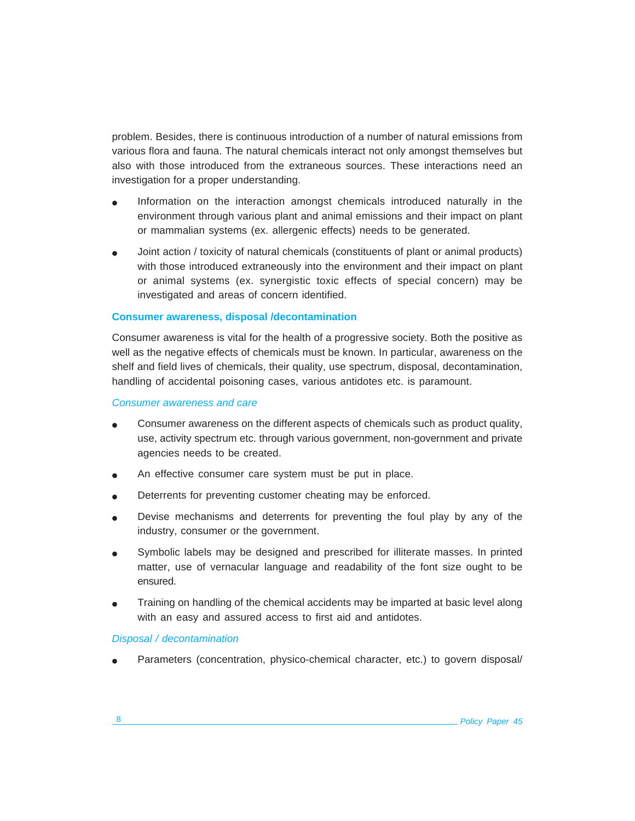problem. Besides, there is continuous introduction of a number of natural emissions from various flora and fauna. The natural chemicals interact not only amongst themselves but also with those introduced from the extraneous sources. These interactions need an investigation for a proper understanding.

- Information on the interaction amongst chemicals introduced naturally in the environment through various plant and animal emissions and their impact on plant or mammalian systems (ex. allergenic effects) needs to be generated.
- Joint action / toxicity of natural chemicals (constituents of plant or animal products) with those introduced extraneously into the environment and their impact on plant or animal systems (ex. synergistic toxic effects of special concern) may be investigated and areas of concern identified.

#### **Consumer awareness, disposal /decontamination**

Consumer awareness is vital for the health of a progressive society. Both the positive as well as the negative effects of chemicals must be known. In particular, awareness on the shelf and field lives of chemicals, their quality, use spectrum, disposal, decontamination, handling of accidental poisoning cases, various antidotes etc. is paramount.

#### *Consumer awareness and care*

- Consumer awareness on the different aspects of chemicals such as product quality, use, activity spectrum etc. through various government, non-government and private agencies needs to be created.
- An effective consumer care system must be put in place.
- Deterrents for preventing customer cheating may be enforced.
- Devise mechanisms and deterrents for preventing the foul play by any of the industry, consumer or the government.
- Symbolic labels may be designed and prescribed for illiterate masses. In printed matter, use of vernacular language and readability of the font size ought to be ensured.
- Training on handling of the chemical accidents may be imparted at basic level along with an easy and assured access to first aid and antidotes.

#### *Disposal / decontamination*

Parameters (concentration, physico-chemical character, etc.) to govern disposal/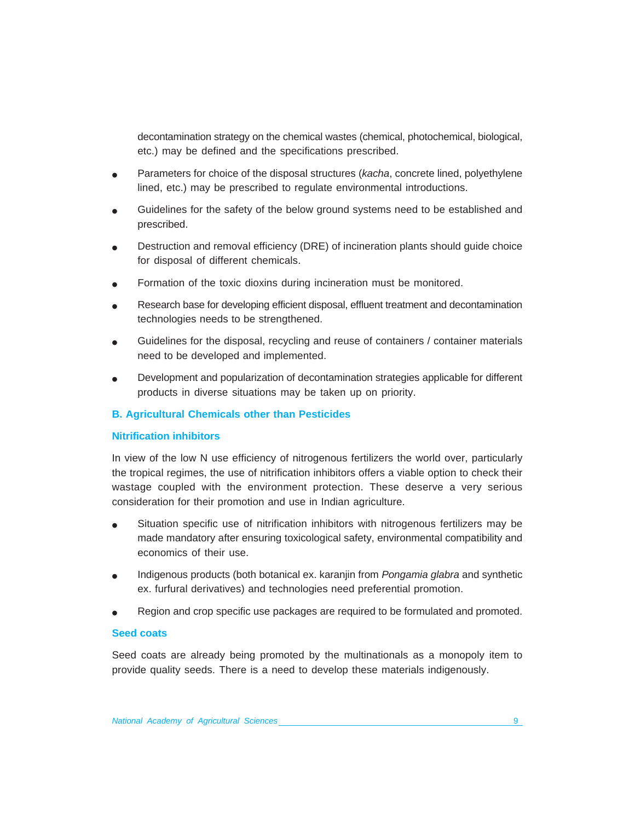decontamination strategy on the chemical wastes (chemical, photochemical, biological, etc.) may be defined and the specifications prescribed.

- Parameters for choice of the disposal structures (*kacha*, concrete lined, polyethylene lined, etc.) may be prescribed to regulate environmental introductions.
- Guidelines for the safety of the below ground systems need to be established and prescribed.
- Destruction and removal efficiency (DRE) of incineration plants should quide choice for disposal of different chemicals.
- Formation of the toxic dioxins during incineration must be monitored.
- Research base for developing efficient disposal, effluent treatment and decontamination technologies needs to be strengthened.
- Guidelines for the disposal, recycling and reuse of containers / container materials need to be developed and implemented.
- Development and popularization of decontamination strategies applicable for different products in diverse situations may be taken up on priority.

#### **B. Agricultural Chemicals other than Pesticides**

#### **Nitrification inhibitors**

In view of the low N use efficiency of nitrogenous fertilizers the world over, particularly the tropical regimes, the use of nitrification inhibitors offers a viable option to check their wastage coupled with the environment protection. These deserve a very serious consideration for their promotion and use in Indian agriculture.

- Situation specific use of nitrification inhibitors with nitrogenous fertilizers may be made mandatory after ensuring toxicological safety, environmental compatibility and economics of their use.
- Indigenous products (both botanical ex. karanjin from *Pongamia glabra* and synthetic ex. furfural derivatives) and technologies need preferential promotion.
- Region and crop specific use packages are required to be formulated and promoted.

#### **Seed coats**

Seed coats are already being promoted by the multinationals as a monopoly item to provide quality seeds. There is a need to develop these materials indigenously.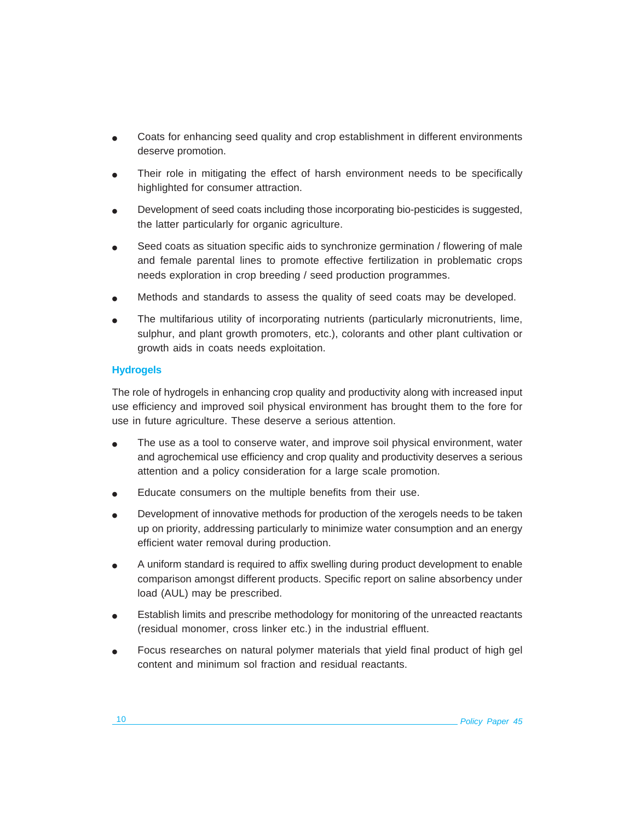- Coats for enhancing seed quality and crop establishment in different environments deserve promotion.
- Their role in mitigating the effect of harsh environment needs to be specifically highlighted for consumer attraction.
- Development of seed coats including those incorporating bio-pesticides is suggested, the latter particularly for organic agriculture.
- Seed coats as situation specific aids to synchronize germination / flowering of male and female parental lines to promote effective fertilization in problematic crops needs exploration in crop breeding / seed production programmes.
- Methods and standards to assess the quality of seed coats may be developed.
- The multifarious utility of incorporating nutrients (particularly micronutrients, lime, sulphur, and plant growth promoters, etc.), colorants and other plant cultivation or growth aids in coats needs exploitation.

### **Hydrogels**

The role of hydrogels in enhancing crop quality and productivity along with increased input use efficiency and improved soil physical environment has brought them to the fore for use in future agriculture. These deserve a serious attention.

- The use as a tool to conserve water, and improve soil physical environment, water and agrochemical use efficiency and crop quality and productivity deserves a serious attention and a policy consideration for a large scale promotion.
- Educate consumers on the multiple benefits from their use.
- Development of innovative methods for production of the xerogels needs to be taken up on priority, addressing particularly to minimize water consumption and an energy efficient water removal during production.
- A uniform standard is required to affix swelling during product development to enable comparison amongst different products. Specific report on saline absorbency under load (AUL) may be prescribed.
- Establish limits and prescribe methodology for monitoring of the unreacted reactants (residual monomer, cross linker etc.) in the industrial effluent.
- Focus researches on natural polymer materials that yield final product of high gel content and minimum sol fraction and residual reactants.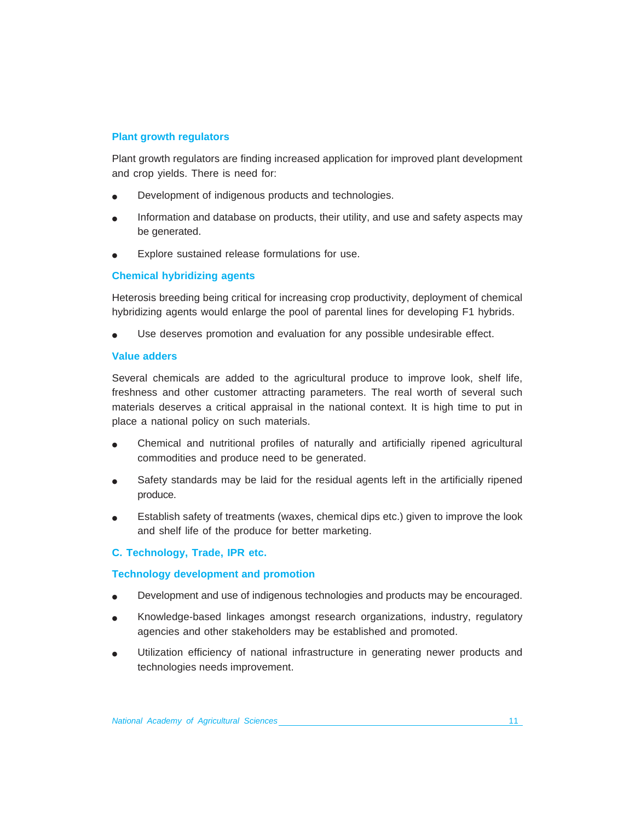### **Plant growth regulators**

Plant growth regulators are finding increased application for improved plant development and crop yields. There is need for:

- Development of indigenous products and technologies.
- Information and database on products, their utility, and use and safety aspects may be generated.
- Explore sustained release formulations for use.

### **Chemical hybridizing agents**

Heterosis breeding being critical for increasing crop productivity, deployment of chemical hybridizing agents would enlarge the pool of parental lines for developing F1 hybrids.

Use deserves promotion and evaluation for any possible undesirable effect.

#### **Value adders**

Several chemicals are added to the agricultural produce to improve look, shelf life, freshness and other customer attracting parameters. The real worth of several such materials deserves a critical appraisal in the national context. It is high time to put in place a national policy on such materials.

- Chemical and nutritional profiles of naturally and artificially ripened agricultural commodities and produce need to be generated.
- Safety standards may be laid for the residual agents left in the artificially ripened produce.
- Establish safety of treatments (waxes, chemical dips etc.) given to improve the look and shelf life of the produce for better marketing.

### **C. Technology, Trade, IPR etc.**

#### **Technology development and promotion**

- Development and use of indigenous technologies and products may be encouraged.
- Knowledge-based linkages amongst research organizations, industry, regulatory agencies and other stakeholders may be established and promoted.
- Utilization efficiency of national infrastructure in generating newer products and technologies needs improvement.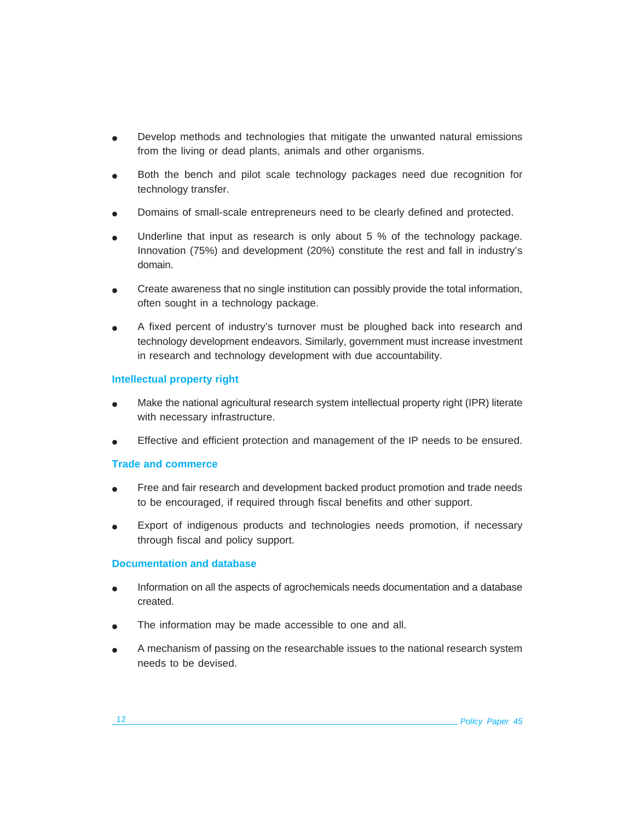- Develop methods and technologies that mitigate the unwanted natural emissions from the living or dead plants, animals and other organisms.
- Both the bench and pilot scale technology packages need due recognition for technology transfer.
- Domains of small-scale entrepreneurs need to be clearly defined and protected.
- Underline that input as research is only about 5 % of the technology package. Innovation (75%) and development (20%) constitute the rest and fall in industry's domain.
- Create awareness that no single institution can possibly provide the total information, often sought in a technology package.
- A fixed percent of industry's turnover must be ploughed back into research and technology development endeavors. Similarly, government must increase investment in research and technology development with due accountability.

## **Intellectual property right**

- Make the national agricultural research system intellectual property right (IPR) literate with necessary infrastructure.
- Effective and efficient protection and management of the IP needs to be ensured.

### **Trade and commerce**

- Free and fair research and development backed product promotion and trade needs to be encouraged, if required through fiscal benefits and other support.
- Export of indigenous products and technologies needs promotion, if necessary through fiscal and policy support.

### **Documentation and database**

- Information on all the aspects of agrochemicals needs documentation and a database created.
- The information may be made accessible to one and all.
- A mechanism of passing on the researchable issues to the national research system needs to be devised.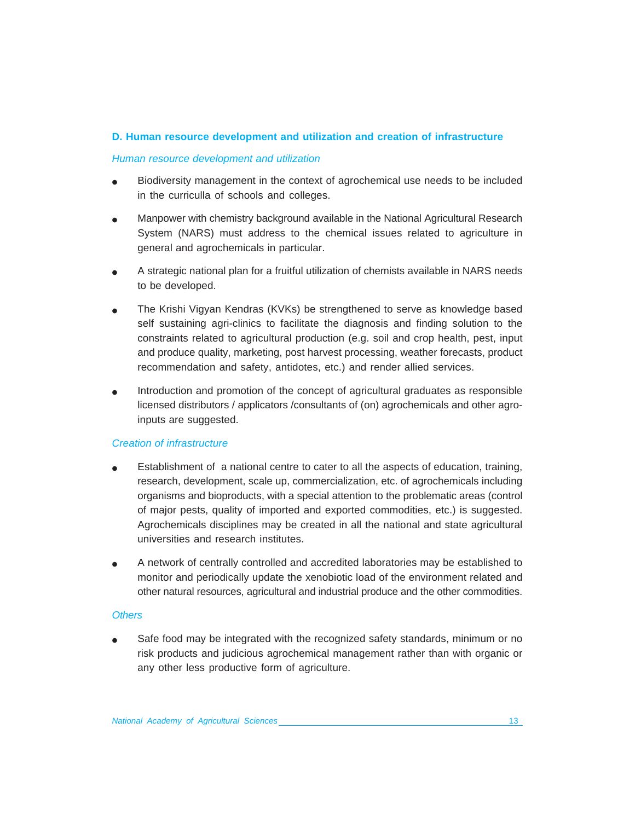### **D. Human resource development and utilization and creation of infrastructure**

#### *Human resource development and utilization*

- Biodiversity management in the context of agrochemical use needs to be included in the curriculla of schools and colleges.
- Manpower with chemistry background available in the National Agricultural Research System (NARS) must address to the chemical issues related to agriculture in general and agrochemicals in particular.
- A strategic national plan for a fruitful utilization of chemists available in NARS needs to be developed.
- The Krishi Vigyan Kendras (KVKs) be strengthened to serve as knowledge based self sustaining agri-clinics to facilitate the diagnosis and finding solution to the constraints related to agricultural production (e.g. soil and crop health, pest, input and produce quality, marketing, post harvest processing, weather forecasts, product recommendation and safety, antidotes, etc.) and render allied services.
- Introduction and promotion of the concept of agricultural graduates as responsible licensed distributors / applicators /consultants of (on) agrochemicals and other agroinputs are suggested.

#### *Creation of infrastructure*

- Establishment of a national centre to cater to all the aspects of education, training, research, development, scale up, commercialization, etc. of agrochemicals including organisms and bioproducts, with a special attention to the problematic areas (control of major pests, quality of imported and exported commodities, etc.) is suggested. Agrochemicals disciplines may be created in all the national and state agricultural universities and research institutes.
- A network of centrally controlled and accredited laboratories may be established to monitor and periodically update the xenobiotic load of the environment related and other natural resources, agricultural and industrial produce and the other commodities.

#### *Others*

Safe food may be integrated with the recognized safety standards, minimum or no risk products and judicious agrochemical management rather than with organic or any other less productive form of agriculture.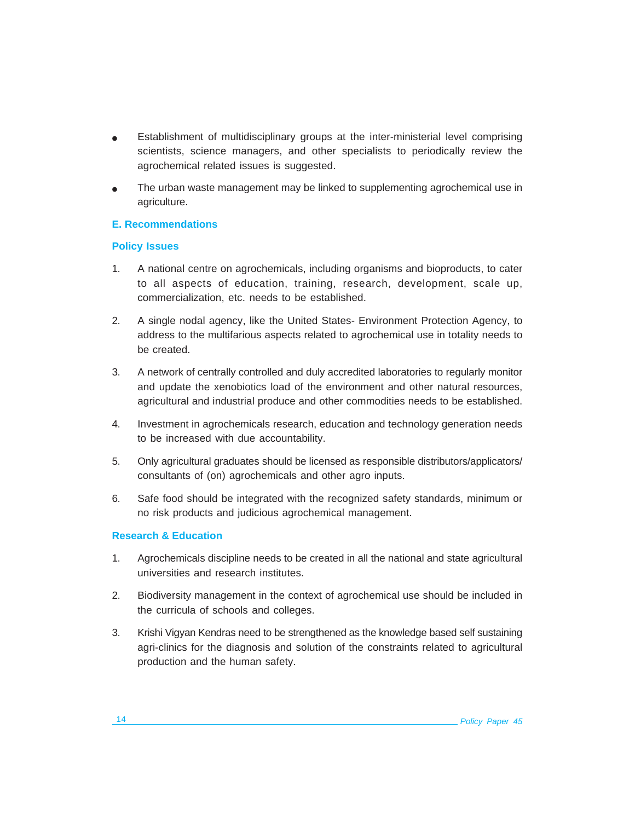- Establishment of multidisciplinary groups at the inter-ministerial level comprising scientists, science managers, and other specialists to periodically review the agrochemical related issues is suggested.
- The urban waste management may be linked to supplementing agrochemical use in agriculture.

### **E. Recommendations**

### **Policy Issues**

- 1. A national centre on agrochemicals, including organisms and bioproducts, to cater to all aspects of education, training, research, development, scale up, commercialization, etc. needs to be established.
- 2. A single nodal agency, like the United States- Environment Protection Agency, to address to the multifarious aspects related to agrochemical use in totality needs to be created.
- 3. A network of centrally controlled and duly accredited laboratories to regularly monitor and update the xenobiotics load of the environment and other natural resources, agricultural and industrial produce and other commodities needs to be established.
- 4. Investment in agrochemicals research, education and technology generation needs to be increased with due accountability.
- 5. Only agricultural graduates should be licensed as responsible distributors/applicators/ consultants of (on) agrochemicals and other agro inputs.
- 6. Safe food should be integrated with the recognized safety standards, minimum or no risk products and judicious agrochemical management.

### **Research & Education**

- 1. Agrochemicals discipline needs to be created in all the national and state agricultural universities and research institutes.
- 2. Biodiversity management in the context of agrochemical use should be included in the curricula of schools and colleges.
- 3. Krishi Vigyan Kendras need to be strengthened as the knowledge based self sustaining agri-clinics for the diagnosis and solution of the constraints related to agricultural production and the human safety.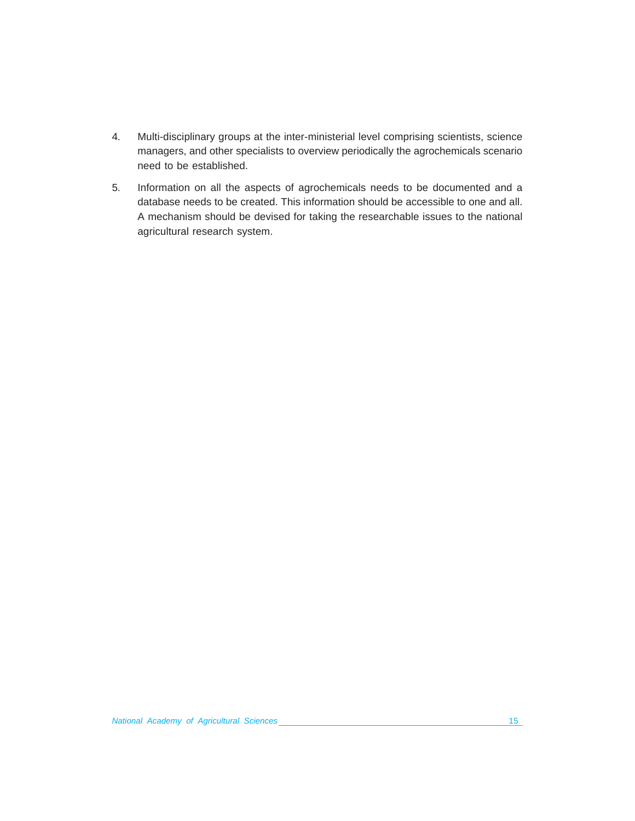- 4. Multi-disciplinary groups at the inter-ministerial level comprising scientists, science managers, and other specialists to overview periodically the agrochemicals scenario need to be established.
- 5. Information on all the aspects of agrochemicals needs to be documented and a database needs to be created. This information should be accessible to one and all. A mechanism should be devised for taking the researchable issues to the national agricultural research system.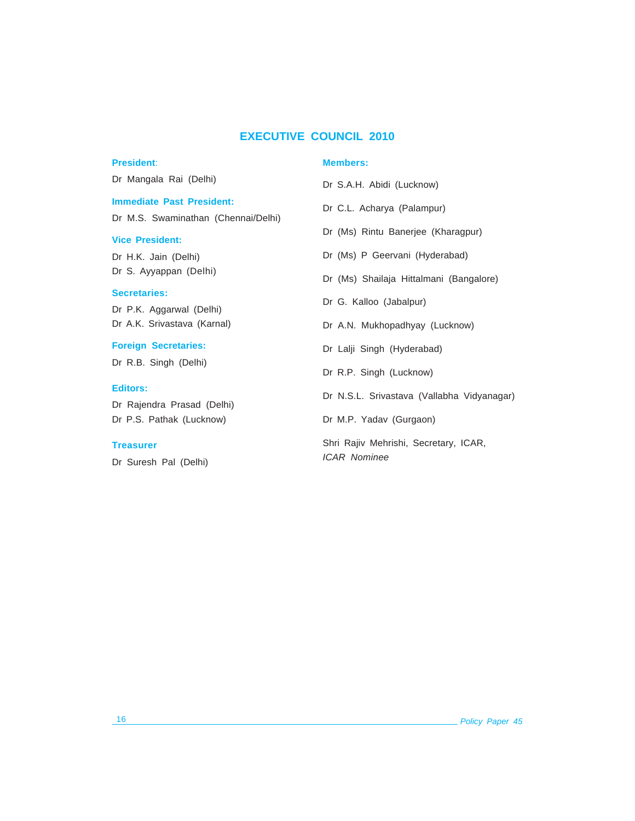### **EXECUTIVE COUNCIL 2010**

### **President**:

#### **Members:**

| a Rai (Delhi)                       | Dr S.A.H. Abidi (Lucknow)                                    |
|-------------------------------------|--------------------------------------------------------------|
| <b>Past President:</b>              | Dr C.L. Acharya (Palampur)                                   |
| waminathan (Chennai/Delhi)<br>dent: | Dr (Ms) Rintu Banerjee (Kharagpur)                           |
| in (Delhi)                          | Dr (Ms) P Geervani (Hyderabad)                               |
| appan (Delhi)                       | Dr (Ms) Shailaja Hittalmani (Bangalore)                      |
| s:<br>garwal (Delhi)                | Dr G. Kalloo (Jabalpur)                                      |
| ivastava (Karnal)                   | Dr A.N. Mukhopadhyay (Lucknow)                               |
| ecretaries:                         | Dr Lalji Singh (Hyderabad)                                   |
| ngh (Delhi)                         | Dr R.P. Singh (Lucknow)                                      |
| a Prasad (Delhi)                    | Dr N.S.L. Srivastava (Vallabha Vidyanagar)                   |
| thak (Lucknow)                      | Dr M.P. Yadav (Gurgaon)                                      |
| Pal (Delhi)                         | Shri Rajiv Mehrishi, Secretary, ICAR,<br><b>ICAR Nominee</b> |
|                                     |                                                              |

Dr Mangala

# **Immediate**

Dr  $M.S. S<sub>0</sub>$ 

### **Vice President**

Dr H.K. Jai Dr S. Ayya

# **Secretaries:**

Dr P.K. Ag Dr A.K. Sriv

### **Foreign Se**

Dr R.B. Sir

# **Editors:**

Dr Rajendra Dr P.S. Pat

## **Treasurer**

Dr Suresh

## 16 *Policy Paper 45*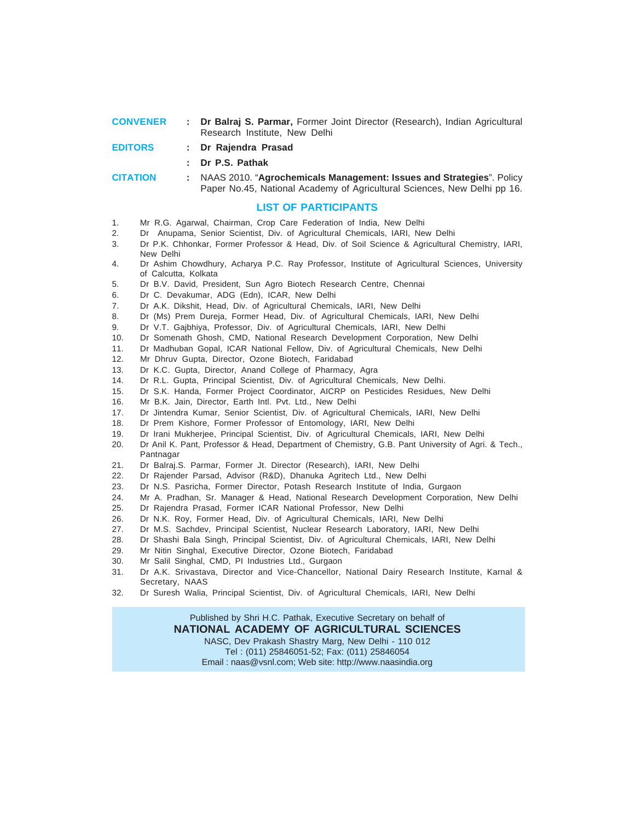| <b>CONVENER</b> | : Dr Balraj S. Parmar, Former Joint Director (Research), Indian Agricultural |
|-----------------|------------------------------------------------------------------------------|
|                 | Research Institute. New Delhi                                                |
| <b>EDITORS</b>  | : Dr Raiendra Prasad                                                         |

**: Dr P.S. Pathak**

**CITATION :** NAAS 2010. "**Agrochemicals Management: Issues and Strategies**". Policy Paper No.45, National Academy of Agricultural Sciences, New Delhi pp 16.

#### **LIST OF PARTICIPANTS**

- 1. Mr R.G. Agarwal, Chairman, Crop Care Federation of India, New Delhi
- 2. Dr Anupama, Senior Scientist, Div. of Agricultural Chemicals, IARI, New Delhi
- 3. Dr P.K. Chhonkar, Former Professor & Head, Div. of Soil Science & Agricultural Chemistry, IARI, New Delhi
- 4. Dr Ashim Chowdhury, Acharya P.C. Ray Professor, Institute of Agricultural Sciences, University of Calcutta, Kolkata
- 5. Dr B.V. David, President, Sun Agro Biotech Research Centre, Chennai
- 6. Dr C. Devakumar, ADG (Edn), ICAR, New Delhi
- 7. Dr A.K. Dikshit, Head, Div. of Agricultural Chemicals, IARI, New Delhi
- 8. Dr (Ms) Prem Dureja, Former Head, Div. of Agricultural Chemicals, IARI, New Delhi
- 9. Dr V.T. Gajbhiya, Professor, Div. of Agricultural Chemicals, IARI, New Delhi
- 10. Dr Somenath Ghosh, CMD, National Research Development Corporation, New Delhi
- 11. Dr Madhuban Gopal, ICAR National Fellow, Div. of Agricultural Chemicals, New Delhi
- 12. Mr Dhruv Gupta, Director, Ozone Biotech, Faridabad
- 13. Dr K.C. Gupta, Director, Anand College of Pharmacy, Agra
- 14. Dr R.L. Gupta, Principal Scientist, Div. of Agricultural Chemicals, New Delhi.
- 15. Dr S.K. Handa, Former Project Coordinator, AICRP on Pesticides Residues, New Delhi
- 16. Mr B.K. Jain, Director, Earth Intl. Pvt. Ltd., New Delhi
- 17. Dr Jintendra Kumar, Senior Scientist, Div. of Agricultural Chemicals, IARI, New Delhi
- 18. Dr Prem Kishore, Former Professor of Entomology, IARI, New Delhi
- 19. Dr Irani Mukherjee, Principal Scientist, Div. of Agricultural Chemicals, IARI, New Delhi
- 20. Dr Anil K. Pant, Professor & Head, Department of Chemistry, G.B. Pant University of Agri. & Tech., Pantnagar
- 21. Dr Balraj.S. Parmar, Former Jt. Director (Research), IARI, New Delhi
- 22. Dr Rajender Parsad, Advisor (R&D), Dhanuka Agritech Ltd., New Delhi
- 23. Dr N.S. Pasricha, Former Director, Potash Research Institute of India, Gurgaon
- 24. Mr A. Pradhan, Sr. Manager & Head, National Research Development Corporation, New Delhi
- 25. Dr Rajendra Prasad, Former ICAR National Professor, New Delhi
- 26. Dr N.K. Roy, Former Head, Div. of Agricultural Chemicals, IARI, New Delhi
- 27. Dr M.S. Sachdev, Principal Scientist, Nuclear Research Laboratory, IARI, New Delhi
- 28. Dr Shashi Bala Singh, Principal Scientist, Div. of Agricultural Chemicals, IARI, New Delhi
- 29. Mr Nitin Singhal, Executive Director, Ozone Biotech, Faridabad
- 30. Mr Salil Singhal, CMD, PI Industries Ltd., Gurgaon
- 31. Dr A.K. Srivastava, Director and Vice-Chancellor, National Dairy Research Institute, Karnal & Secretary, NAAS
- 32. Dr Suresh Walia, Principal Scientist, Div. of Agricultural Chemicals, IARI, New Delhi

Published by Shri H.C. Pathak, Executive Secretary on behalf of **NATIONAL ACADEMY OF AGRICULTURAL SCIENCES** NASC, Dev Prakash Shastry Marg, New Delhi - 110 012 Tel : (011) 25846051-52; Fax: (011) 25846054 Email : naas@vsnl.com; Web site: http://www.naasindia.org